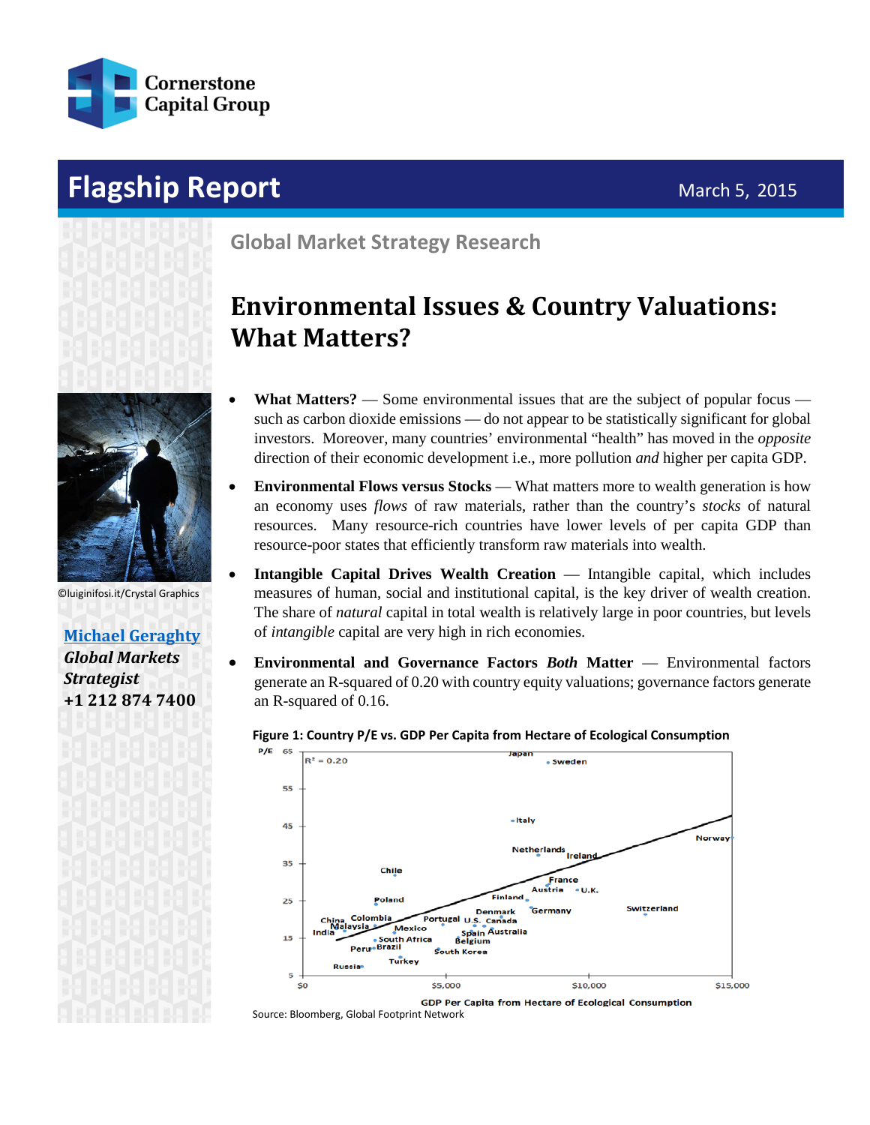

# **Flagship Report**





©luiginifosi.it/Crystal Graphics

**[Michael Geraghty](mailto:michael.geraghty@cornerstonecapinc.com?subject=Information%20Request%20-%20Cornerstone%20Strategy%20Research%20)** *Global Markets Strategist* **+1 212 874 7400**

**Global Market Strategy Research**

## **Environmental Issues & Country Valuations: What Matters?**

- **What Matters?** Some environmental issues that are the subject of popular focus such as carbon dioxide emissions — do not appear to be statistically significant for global investors. Moreover, many countries' environmental "health" has moved in the *opposite* direction of their economic development i.e., more pollution *and* higher per capita GDP.
- **Environmental Flows versus Stocks** What matters more to wealth generation is how an economy uses *flows* of raw materials, rather than the country's *stocks* of natural resources.Many resource-rich countries have lower levels of per capita GDP than resource-poor states that efficiently transform raw materials into wealth.
- **Intangible Capital Drives Wealth Creation** Intangible capital, which includes measures of human, social and institutional capital, is the key driver of wealth creation. The share of *natural* capital in total wealth is relatively large in poor countries, but levels of *intangible* capital are very high in rich economies.
- **Environmental and Governance Factors** *Both* **Matter** Environmental factors generate an R-squared of 0.20 with country equity valuations; governance factors generate an R-squared of 0.16.



#### **Figure 1: Country P/E vs. GDP Per Capita from Hectare of Ecological Consumption**

Source: Bloomberg, Global Footprint Network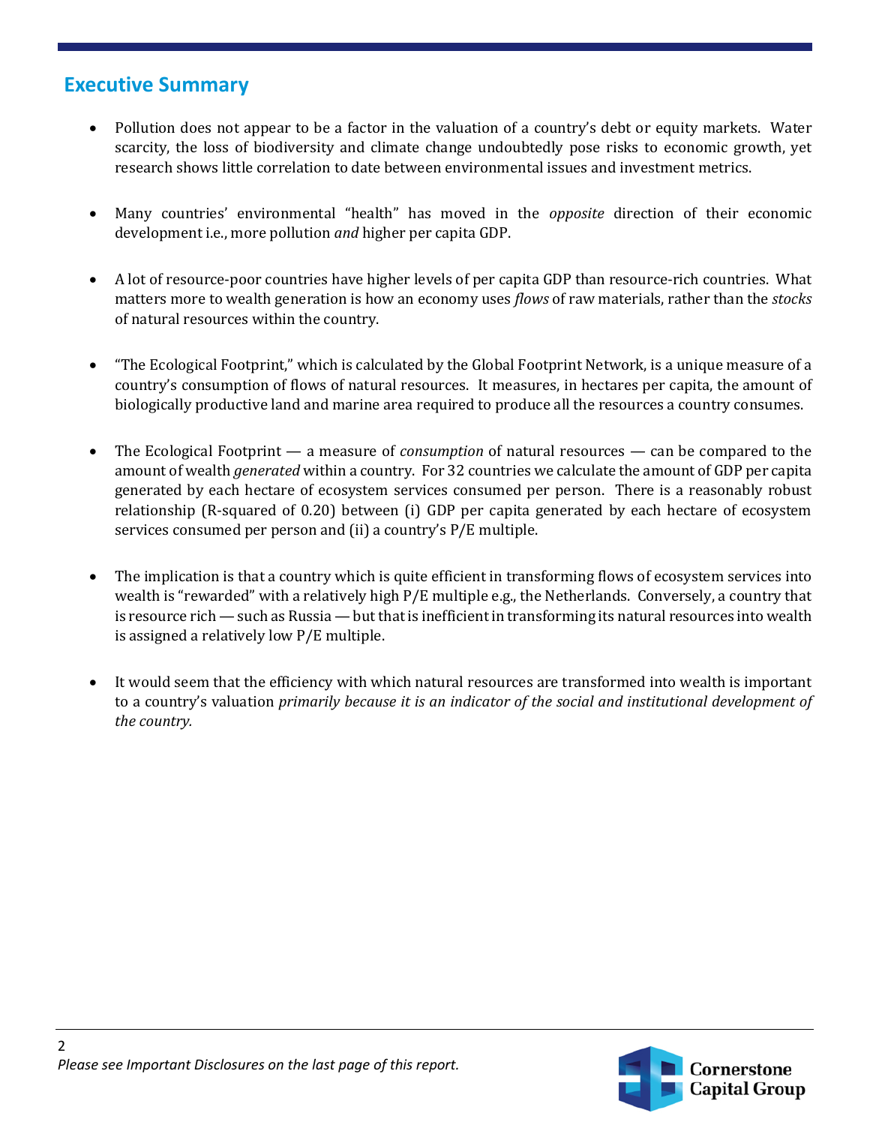#### **Executive Summary**

- Pollution does not appear to be a factor in the valuation of a country's debt or equity markets. Water scarcity, the loss of biodiversity and climate change undoubtedly pose risks to economic growth, yet research shows little correlation to date between environmental issues and investment metrics.
- Many countries' environmental "health" has moved in the *opposite* direction of their economic development i.e., more pollution *and* higher per capita GDP.
- A lot of resource-poor countries have higher levels of per capita GDP than resource-rich countries. What matters more to wealth generation is how an economy uses *flows* of raw materials, rather than the *stocks* of natural resources within the country.
- "The Ecological Footprint," which is calculated by the Global Footprint Network, is a unique measure of a country's consumption of flows of natural resources. It measures, in hectares per capita, the amount of biologically productive land and marine area required to produce all the resources a country consumes.
- The Ecological Footprint a measure of *consumption* of natural resources can be compared to the amount of wealth *generated* within a country. For 32 countries we calculate the amount of GDP per capita generated by each hectare of ecosystem services consumed per person. There is a reasonably robust relationship (R-squared of 0.20) between (i) GDP per capita generated by each hectare of ecosystem services consumed per person and (ii) a country's P/E multiple.
- The implication is that a country which is quite efficient in transforming flows of ecosystem services into wealth is "rewarded" with a relatively high P/E multiple e.g., the Netherlands. Conversely, a country that is resource rich —such as Russia — but that is inefficient in transforming its natural resources into wealth is assigned a relatively low P/E multiple.
- It would seem that the efficiency with which natural resources are transformed into wealth is important to a country's valuation *primarily because it is an indicator of the social and institutional development of the country.*

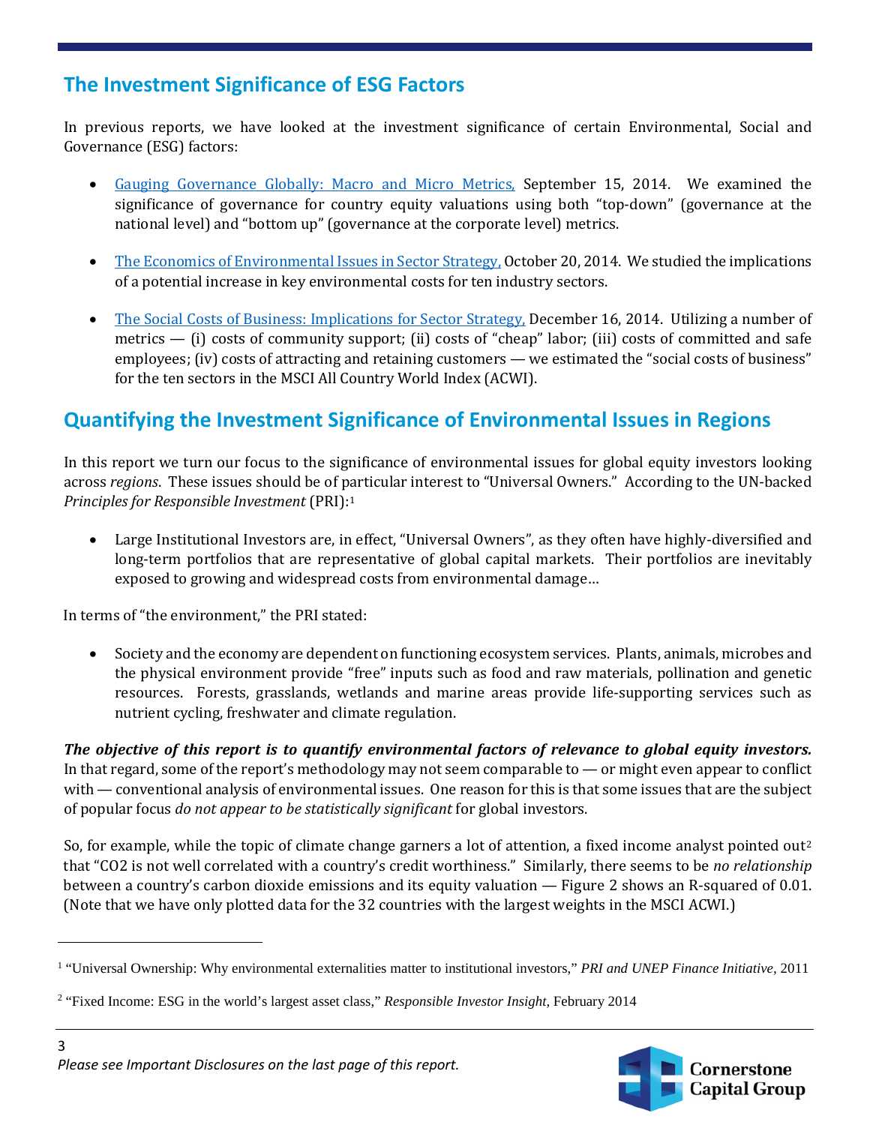#### **The Investment Significance of ESG Factors**

In previous reports, we have looked at the investment significance of certain Environmental, Social and Governance (ESG) factors:

- [Gauging Governance Globally: Macro and Micro Metrics,](http://cornerstonecapinc.com/2014/09/gauging-governance-globally/) September 15, 2014. We examined the significance of governance for country equity valuations using both "top-down" (governance at the national level) and "bottom up" (governance at the corporate level) metrics.
- [The Economics of Environmental Issues in Sector Strategy,](http://cornerstonecapinc.com/2014/10/the-economics-of-environmental-issues-in-sector-strategy-2/) October 20, 2014. We studied the implications of a potential increase in key environmental costs for ten industry sectors.
- [The Social Costs of Business: Implications for Sector Strategy,](http://cornerstonecapinc.com/2014/12/the-social-costs-of-business-implications-for-sector-strategy/) December 16, 2014. Utilizing a number of metrics — (i) costs of community support; (ii) costs of "cheap" labor; (iii) costs of committed and safe employees; (iv) costs of attracting and retaining customers — we estimated the "social costs of business" for the ten sectors in the MSCI All Country World Index (ACWI).

### **Quantifying the Investment Significance of Environmental Issues in Regions**

In this report we turn our focus to the significance of environmental issues for global equity investors looking across *regions*. These issues should be of particular interest to "Universal Owners." According to the UN-backed *Principles for Responsible Investment* (PRI):[1](#page-2-0)

• Large Institutional Investors are, in effect, "Universal Owners", as they often have highly-diversified and long-term portfolios that are representative of global capital markets. Their portfolios are inevitably exposed to growing and widespread costs from environmental damage…

In terms of "the environment," the PRI stated:

• Society and the economy are dependent on functioning ecosystem services. Plants, animals, microbes and the physical environment provide "free" inputs such as food and raw materials, pollination and genetic resources. Forests, grasslands, wetlands and marine areas provide life-supporting services such as nutrient cycling, freshwater and climate regulation.

*The objective of this report is to quantify environmental factors of relevance to global equity investors.*  In that regard, some of the report's methodology may not seem comparable to — or might even appear to conflict with — conventional analysis of environmental issues. One reason for this is that some issues that are the subject of popular focus *do not appear to be statistically significant* for global investors.

So, for example, while the topic of climate change garners a lot of attention, a fixed income analyst pointed out<sup>[2](#page-2-1)</sup> that "CO2 is not well correlated with a country's credit worthiness." Similarly, there seems to be *no relationship* between a country's carbon dioxide emissions and its equity valuation — Figure 2 shows an R-squared of 0.01. (Note that we have only plotted data for the 32 countries with the largest weights in the MSCI ACWI.)

<span id="page-2-1"></span><sup>2</sup> "Fixed Income: ESG in the world's largest asset class," *Responsible Investor Insight,* February 2014



3

<span id="page-2-0"></span><sup>1</sup> "Universal Ownership: Why environmental externalities matter to institutional investors," *PRI and UNEP Finance Initiative,* 2011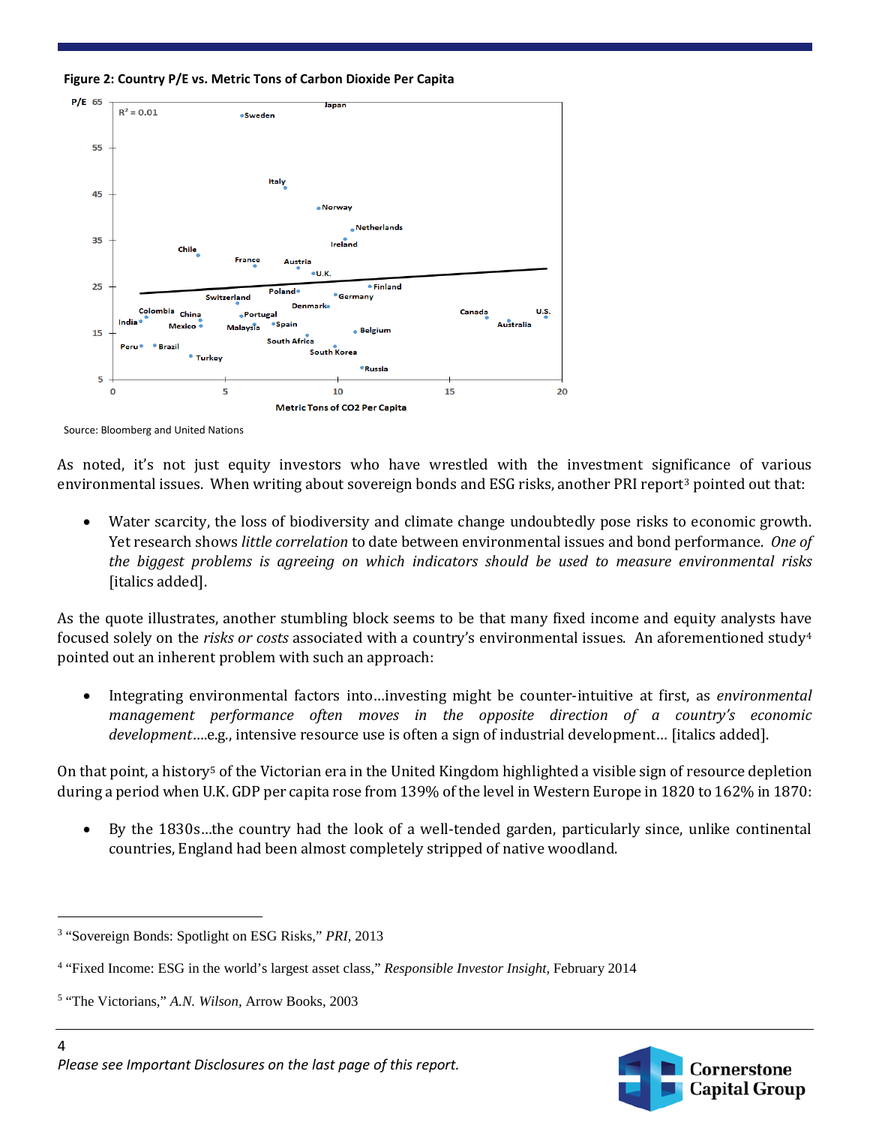



Source: Bloomberg and United Nations

As noted, it's not just equity investors who have wrestled with the investment signi[fi](#page-3-0)cance of various environmental issues. When writing about sovereign bonds and ESG risks, another PRI report<sup>3</sup> pointed out that:

• Water scarcity, the loss of biodiversity and climate change undoubtedly pose risks to economic growth. Yet research shows *little correlation* to date between environmental issues and bond performance. *One of the biggest problems is agreeing on which indicators should be used to measure environmental risks* [italics added].

As the quote illustrates, another stumbling block seems to be that many fixed income and equity analysts hav[e](#page-3-1)  focused solely on the *risks or costs* associated with a country's environmental issues. An aforementioned study4 pointed out an inherent problem with such an approach:

• Integrating environmental factors into…investing might be counter-intuitive at first, as *environmental management performance often moves in the opposite direction of a country's economic development*….e.g., intensive resource use is often a sign of industrial development… [italics added].

On that point, a history<sup>5</sup> of the Victorian era in the United Kingdom highlighted a visible sign of resource depletion during a period when U.K. GDP per capita rose from 139% of the level in Western Europe in 1820 to 162% in 1870:

• By the 1830s…the country had the look of a well-tended garden, particularly since, unlike continental countries, England had been almost completely stripped of native woodland.

<span id="page-3-0"></span><sup>3</sup> "Sovereign Bonds: Spotlight on ESG Risks," *PRI,* 2013

<span id="page-3-1"></span><sup>4</sup> "Fixed Income: ESG in the world's largest asset class," *Responsible Investor Insight,* February 2014

<span id="page-3-2"></span><sup>5</sup> "The Victorians," *A.N. Wilson,* Arrow Books, 2003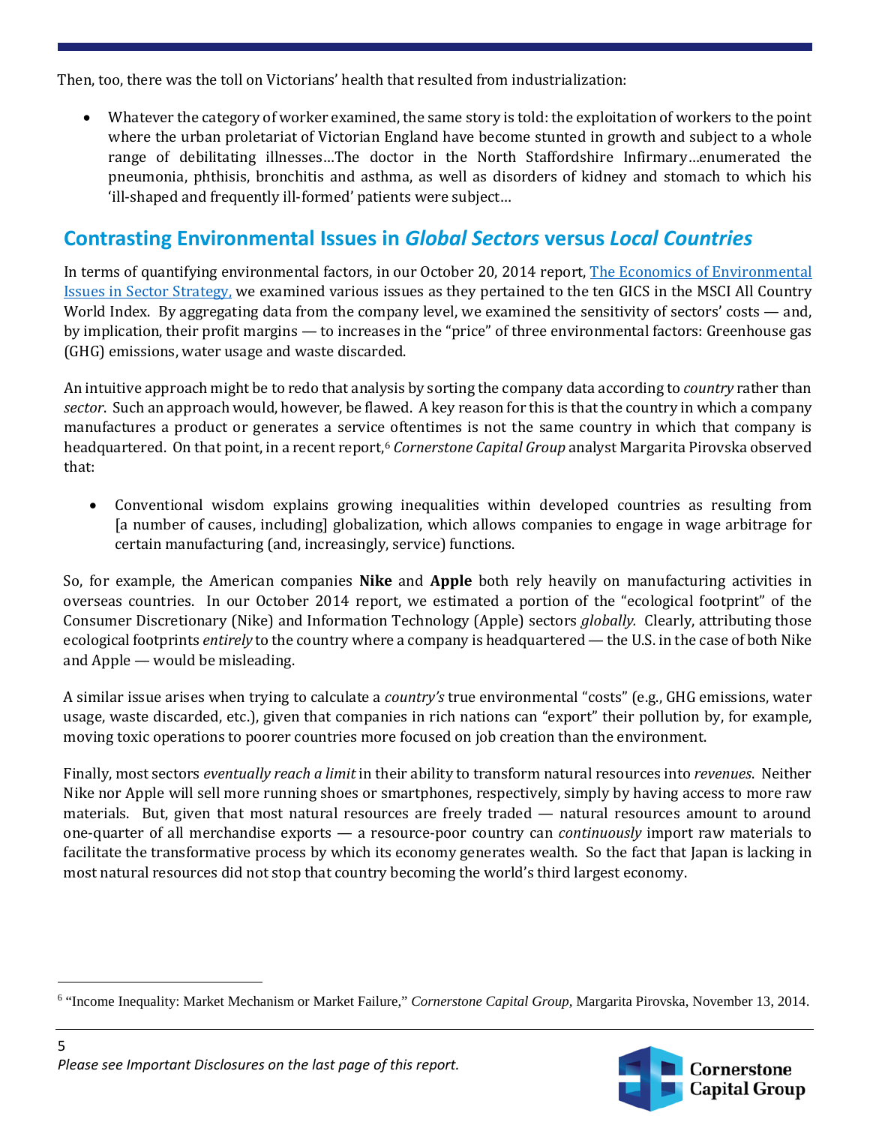Then, too, there was the toll on Victorians' health that resulted from industrialization:

• Whatever the category of worker examined, the same story is told: the exploitation of workers to the point where the urban proletariat of Victorian England have become stunted in growth and subject to a whole range of debilitating illnesses…The doctor in the North Staffordshire Infirmary…enumerated the pneumonia, phthisis, bronchitis and asthma, as well as disorders of kidney and stomach to which his 'ill-shaped and frequently ill-formed' patients were subject…

#### **Contrasting Environmental Issues in** *Global Sectors* **versus** *Local Countries*

In terms of quantifying environmental factors, in our October 20, 2014 report, The Economics of Environmental [Issues in Sector Strategy,](http://cornerstonecapinc.com/2014/10/the-economics-of-environmental-issues-in-sector-strategy-2/) we examined various issues as they pertained to the ten GICS in the MSCI All Country World Index. By aggregating data from the company level, we examined the sensitivity of sectors' costs — and, by implication, their profit margins — to increases in the "price" of three environmental factors: Greenhouse gas (GHG) emissions, water usage and waste discarded.

An intuitive approach might be to redo that analysis by sorting the company data according to *country* rather than *sector*. Such an approach would, however, be flawed. A key reason for this is that the country in which a company manufactures a product or generates a service oftentimes is not the same country in which that company is headquartered. On that point, in a recent report,[6](#page-4-0) *Cornerstone Capital Group* analyst Margarita Pirovska observed that:

• Conventional wisdom explains growing inequalities within developed countries as resulting from [a number of causes, including] globalization, which allows companies to engage in wage arbitrage for certain manufacturing (and, increasingly, service) functions.

So, for example, the American companies **Nike** and **Apple** both rely heavily on manufacturing activities in overseas countries. In our October 2014 report, we estimated a portion of the "ecological footprint" of the Consumer Discretionary (Nike) and Information Technology (Apple) sectors *globally.* Clearly, attributing those ecological footprints *entirely* to the country where a company is headquartered — the U.S. in the case of both Nike and Apple — would be misleading.

A similar issue arises when trying to calculate a *country's* true environmental "costs" (e.g., GHG emissions, water usage, waste discarded, etc.), given that companies in rich nations can "export" their pollution by, for example, moving toxic operations to poorer countries more focused on job creation than the environment.

Finally, most sectors *eventually reach a limit* in their ability to transform natural resources into *revenues*. Neither Nike nor Apple will sell more running shoes or smartphones, respectively, simply by having access to more raw materials. But, given that most natural resources are freely traded — natural resources amount to around one-quarter of all merchandise exports — a resource-poor country can *continuously* import raw materials to facilitate the transformative process by which its economy generates wealth. So the fact that Japan is lacking in most natural resources did not stop that country becoming the world's third largest economy.

<span id="page-4-0"></span><sup>6</sup> "Income Inequality: Market Mechanism or Market Failure," *Cornerstone Capital Group,* Margarita Pirovska, November 13, 2014.



5

l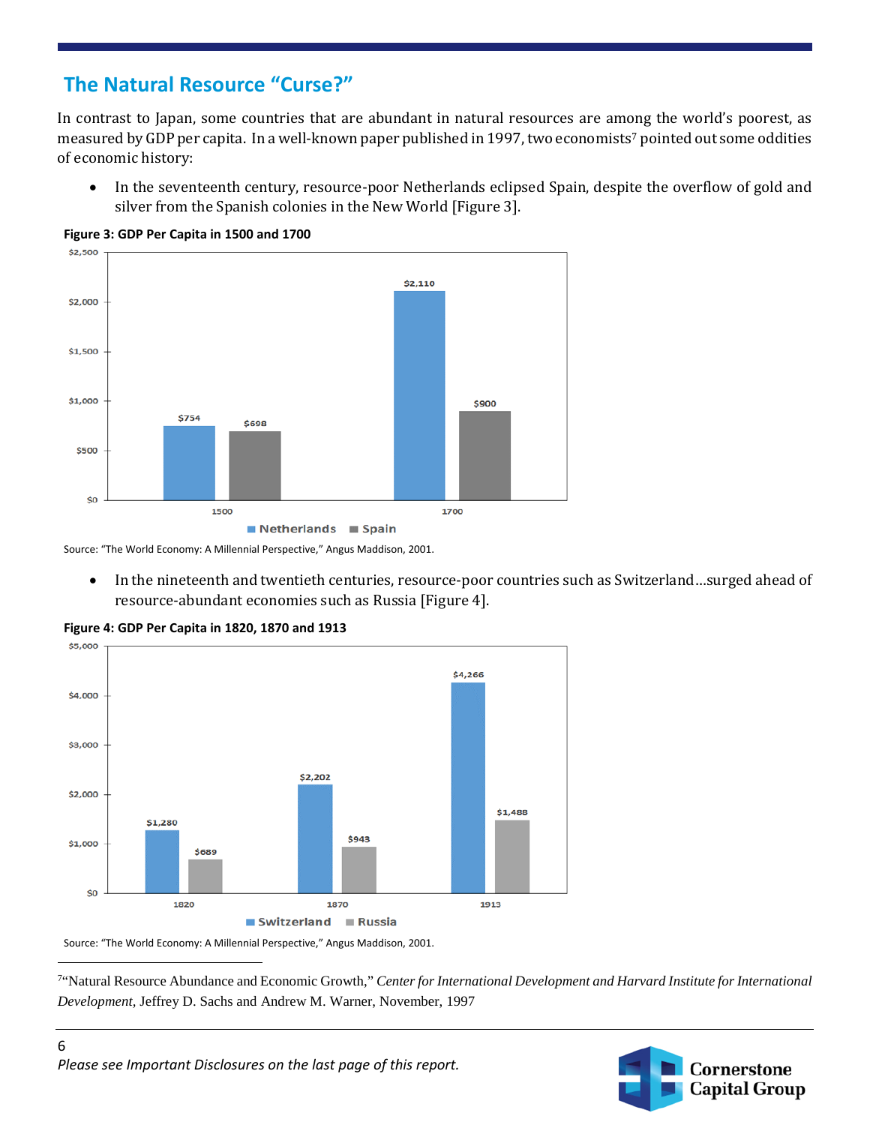### **The Natural Resource "Curse?"**

In contrast to Japan, some countries that are abundant in natural resources are among the world's poorest, as measured by GDP per capita. In a well-known paper published in 199[7](#page-5-0), two economists<sup>7</sup> pointed out some oddities of economic history:

• In the seventeenth century, resource-poor Netherlands eclipsed Spain, despite the overflow of gold and silver from the Spanish colonies in the New World [Figure 3].

**Figure 3: GDP Per Capita in 1500 and 1700**



Source: "The World Economy: A Millennial Perspective," Angus Maddison, 2001.

• In the nineteenth and twentieth centuries, resource-poor countries such as Switzerland...surged ahead of resource-abundant economies such as Russia [Figure 4].



**Figure 4: GDP Per Capita in 1820, 1870 and 1913**

Source: "The World Economy: A Millennial Perspective," Angus Maddison, 2001.

<span id="page-5-0"></span>7 "Natural Resource Abundance and Economic Growth," *Center for International Development and Harvard Institute for International Development,* Jeffrey D. Sachs and Andrew M. Warner, November, 1997



6

 $\overline{a}$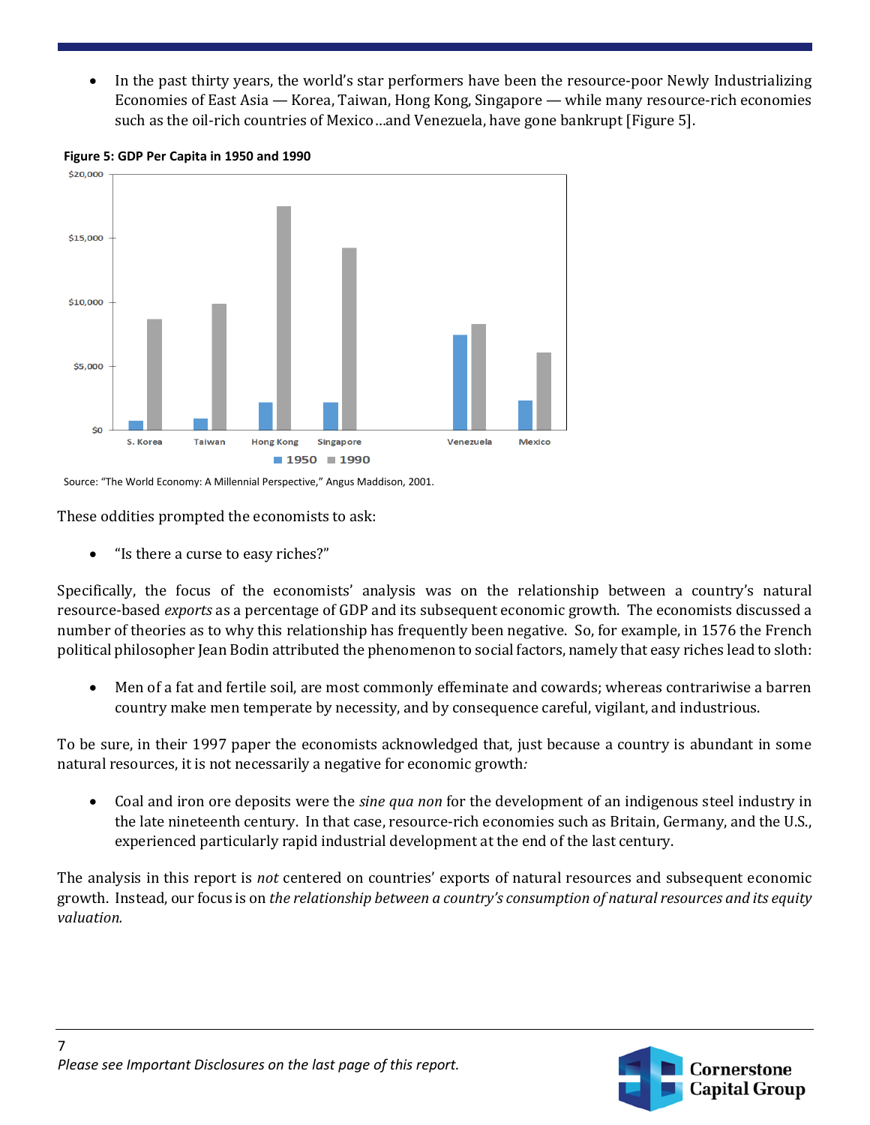• In the past thirty years, the world's star performers have been the resource-poor Newly Industrializing Economies of East Asia — Korea, Taiwan, Hong Kong, Singapore — while many resource-rich economies such as the oil-rich countries of Mexico…and Venezuela, have gone bankrupt [Figure 5].



**Figure 5: GDP Per Capita in 1950 and 1990**

Source: "The World Economy: A Millennial Perspective," Angus Maddison, 2001.

These oddities prompted the economists to ask:

• "Is there a curse to easy riches?"

Specifically, the focus of the economists' analysis was on the relationship between a country's natural resource-based *exports* as a percentage of GDP and its subsequent economic growth. The economists discussed a number of theories as to why this relationship has frequently been negative. So, for example, in 1576 the French political philosopher Jean Bodin attributed the phenomenon to social factors, namely that easy riches lead to sloth:

• Men of a fat and fertile soil, are most commonly effeminate and cowards; whereas contrariwise a barren country make men temperate by necessity, and by consequence careful, vigilant, and industrious.

To be sure, in their 1997 paper the economists acknowledged that, just because a country is abundant in some natural resources, it is not necessarily a negative for economic growth*:*

• Coal and iron ore deposits were the *sine qua non* for the development of an indigenous steel industry in the late nineteenth century. In that case, resource-rich economies such as Britain, Germany, and the U.S., experienced particularly rapid industrial development at the end of the last century.

The analysis in this report is *not* centered on countries' exports of natural resources and subsequent economic growth. Instead, our focus is on *the relationship between a country's consumption of natural resources and its equity valuation.*

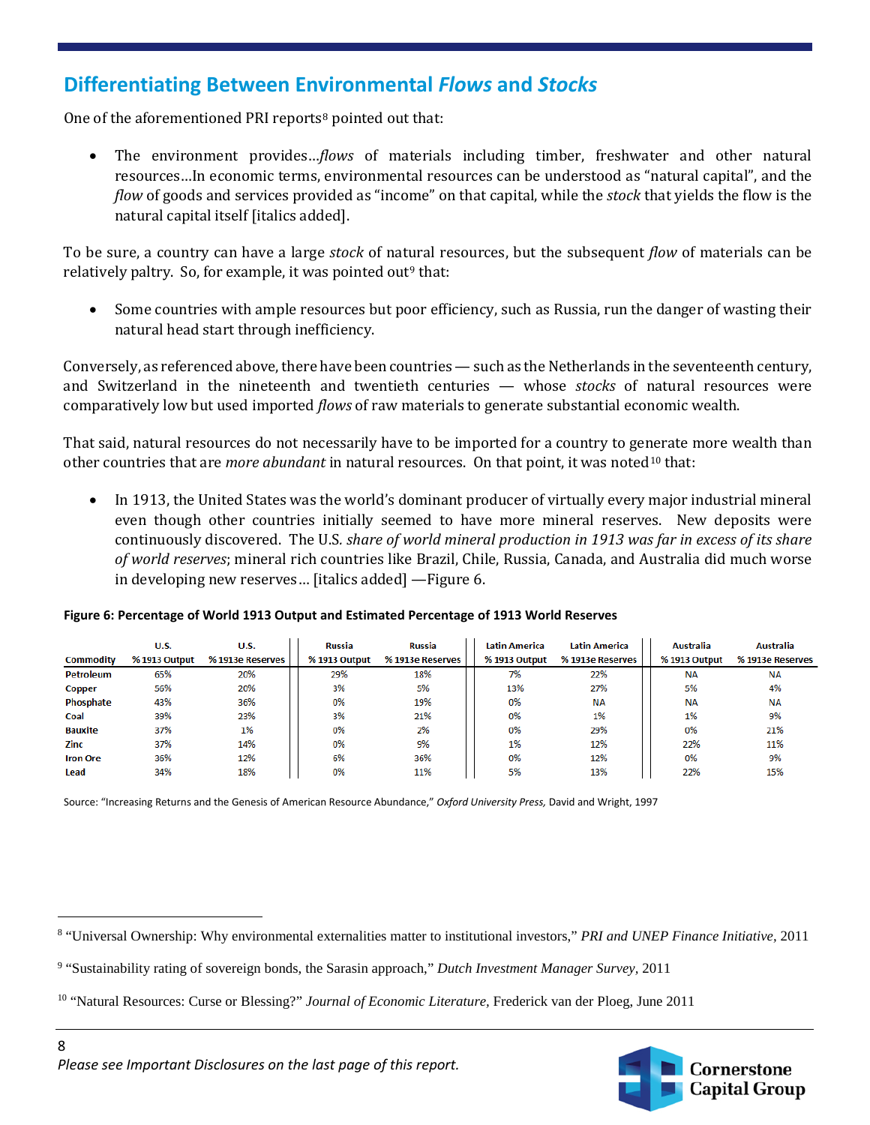#### **Differentiating Between Environmental** *Flows* **and** *Stocks*

One of the aforementioned PRI reports<sup>[8](#page-7-0)</sup> pointed out that:

• The environment provides…*flows* of materials including timber, freshwater and other natural resources…In economic terms, environmental resources can be understood as "natural capital", and the *flow* of goods and services provided as "income" on that capital, while the *stock* that yields the flow is the natural capital itself [italics added].

To be sure, a country can have a large *stock* of nat[u](#page-7-1)ral resources, but the subsequent *flow* of materials can be relatively paltry. So, for example, it was pointed out<sup>9</sup> that:

• Some countries with ample resources but poor efficiency, such as Russia, run the danger of wasting their natural head start through inefficiency.

Conversely, as referenced above, there have been countries - such as the Netherlands in the seventeenth century, and Switzerland in the nineteenth and twentieth centuries — whose *stocks* of natural resources were comparatively low but used imported *flows* of raw materials to generate substantial economic wealth.

That said, natural resources do not necessarily have to be imported for a country to generate more wealth than other countries that are *more abundant* in natural resources. On that point, it was noted<sup>[10](#page-7-2)</sup> that:

In 1913, the United States was the world's dominant producer of virtually every major industrial mineral even though other countries initially seemed to have more mineral reserves. New deposits were continuously discovered. The U.S*. share of world mineral production in 1913 was far in excess of its share of world reserves*; mineral rich countries like Brazil, Chile, Russia, Canada, and Australia did much worse in developing new reserves… [italics added] —Figure 6.

|                  | <b>U.S.</b>   | <b>U.S.</b>      | Russia        | <b>Russia</b>    | <b>Latin America</b> | <b>Latin America</b> | <b>Australia</b> | Australia        |
|------------------|---------------|------------------|---------------|------------------|----------------------|----------------------|------------------|------------------|
| <b>Commodity</b> | % 1913 Output | % 1913e Reserves | % 1913 Output | % 1913e Reserves | % 1913 Output        | % 1913e Reserves     | % 1913 Output    | % 1913e Reserves |
| <b>Petroleum</b> | 65%           | 20%              | 29%           | 18%              | 7%                   | 22%                  | <b>NA</b>        | <b>NA</b>        |
| Copper           | 56%           | 20%              | 3%            | 5%               | 13%                  | 27%                  | 5%               | 4%               |
| Phosphate        | 43%           | 36%              | 0%            | 19%              | 0%                   | <b>NA</b>            | <b>NA</b>        | <b>NA</b>        |
| Coal             | 39%           | 23%              | 3%            | 21%              | 0%                   | 1%                   | 1%               | 9%               |
| <b>Bauxite</b>   | 37%           | 1%               | 0%            | 2%               | 0%                   | 29%                  | 0%               | 21%              |
| Zinc             | 37%           | 14%              | 0%            | 9%               | 1%                   | 12%                  | 22%              | 11%              |
| <b>Iron Ore</b>  | 36%           | 12%              | 6%            | 36%              | 0%                   | 12%                  | 0%               | 9%               |
| Lead             | 34%           | 18%              | 0%            | 11%              | 5%                   | 13%                  | 22%              | 15%              |

**Figure 6: Percentage of World 1913 Output and Estimated Percentage of 1913 World Reserves** 

Source: "Increasing Returns and the Genesis of American Resource Abundance," *Oxford University Press,* David and Wright, 1997

<span id="page-7-2"></span><sup>10</sup> "Natural Resources: Curse or Blessing?" *Journal of Economic Literature,* Frederick van der Ploeg, June 2011



8

<span id="page-7-0"></span><sup>8</sup> "Universal Ownership: Why environmental externalities matter to institutional investors," *PRI and UNEP Finance Initiative,* 2011

<span id="page-7-1"></span><sup>9</sup> "Sustainability rating of sovereign bonds, the Sarasin approach," *Dutch Investment Manager Survey,* 2011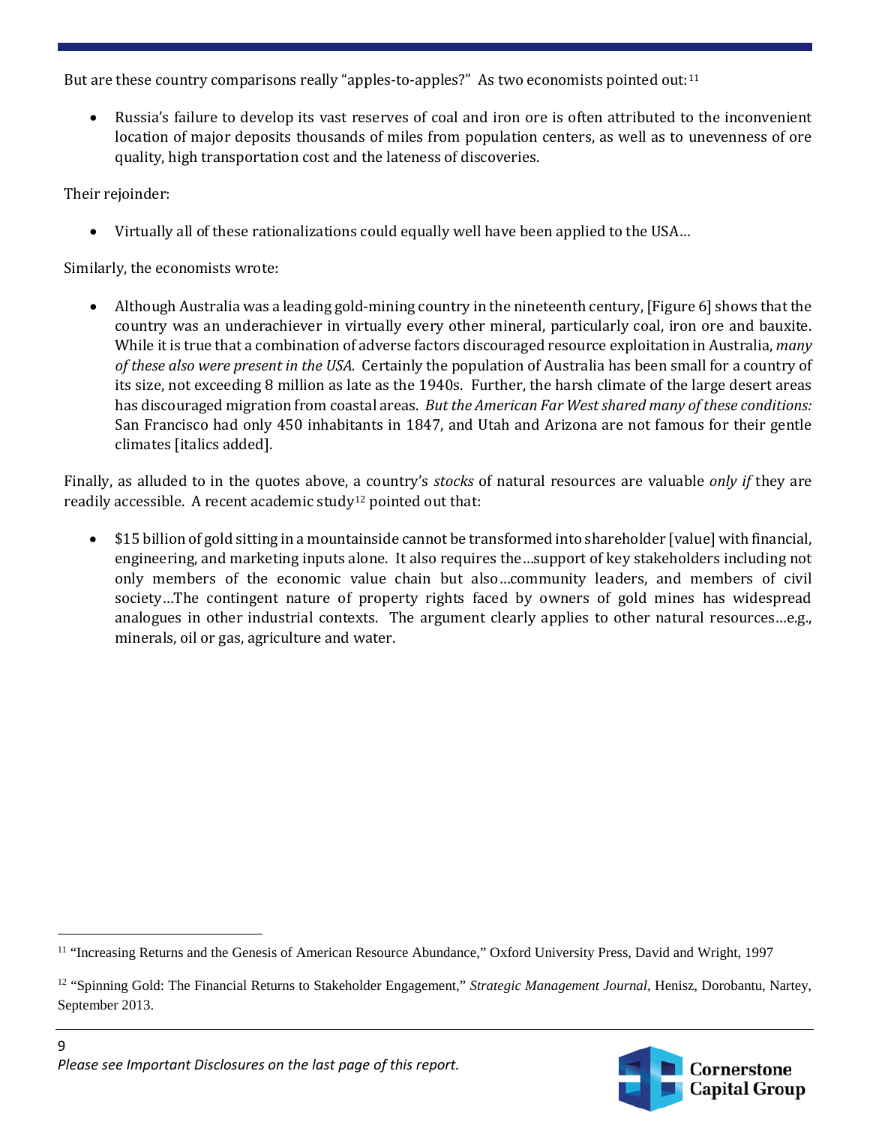But are these country comparisons really "apples-to-apples?" As two economists pointed out:<sup>[11](#page-8-0)</sup>

• Russia's failure to develop its vast reserves of coal and iron ore is often attributed to the inconvenient location of major deposits thousands of miles from population centers, as well as to unevenness of ore quality, high transportation cost and the lateness of discoveries.

Their rejoinder:

• Virtually all of these rationalizations could equally well have been applied to the USA…

Similarly, the economists wrote:

• Although Australia was a leading gold-mining country in the nineteenth century, [Figure 6] shows that the country was an underachiever in virtually every other mineral, particularly coal, iron ore and bauxite. While it is true that a combination of adverse factors discouraged resource exploitation in Australia, *many of these also were present in the USA.* Certainly the population of Australia has been small for a country of its size, not exceeding 8 million as late as the 1940s. Further, the harsh climate of the large desert areas has discouraged migration from coastal areas. *But the American Far West shared many of these conditions:*  San Francisco had only 450 inhabitants in 1847, and Utah and Arizona are not famous for their gentle climates [italics added].

Finally, as alluded to in the quotes above, [a](#page-8-1) country's *stocks* of natural resources are valuable *only if* they are readily accessible. A recent academic study<sup>12</sup> pointed out that:

• \$15 billion of gold sitting in a mountainside cannot be transformed into shareholder [value] with financial, engineering, and marketing inputs alone. It also requires the…support of key stakeholders including not only members of the economic value chain but also…community leaders, and members of civil society…The contingent nature of property rights faced by owners of gold mines has widespread analogues in other industrial contexts. The argument clearly applies to other natural resources…e.g., minerals, oil or gas, agriculture and water.

<span id="page-8-1"></span><sup>12</sup> "Spinning Gold: The Financial Returns to Stakeholder Engagement," *Strategic Management Journal,* Henisz, Dorobantu, Nartey, September 2013.



9

<span id="page-8-0"></span><sup>&</sup>lt;sup>11</sup> "Increasing Returns and the Genesis of American Resource Abundance," Oxford University Press, David and Wright, 1997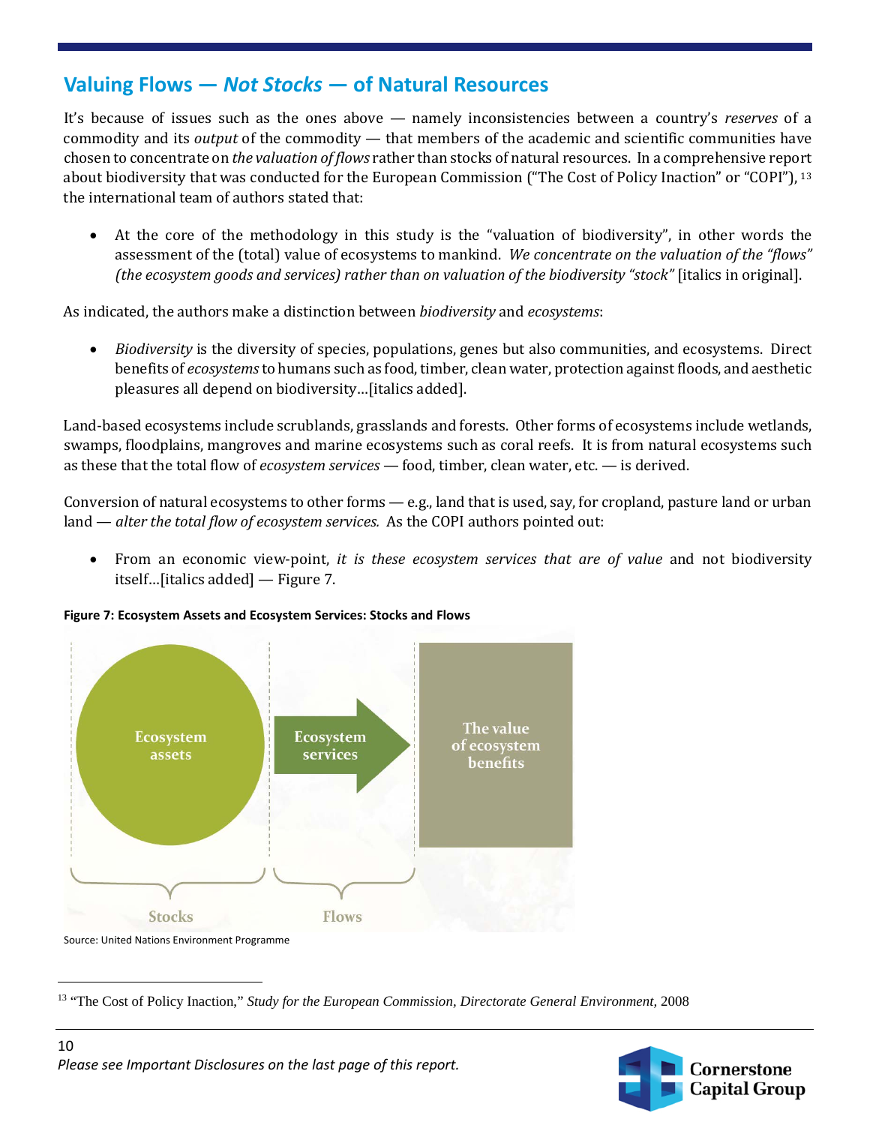## **Valuing Flows —** *Not Stocks* **— of Natural Resources**

It's because of issues such as the ones above — namely inconsistencies between a country's *reserves* of a commodity and its *output* of the commodity — that members of the academic and scientific communities have chosen to concentrate on *the valuation of flows* rather than stocks of natural resources. In a comprehensive repo[rt](#page-9-0) about biodiversity that was conducted for the European Commission ("The Cost of Policy Inaction" or "COPI"), <sup>13</sup> the international team of authors stated that:

At the core of the methodology in this study is the "valuation of biodiversity", in other words the assessment of the (total) value of ecosystems to mankind. *We concentrate on the valuation of the "flows" (the ecosystem goods and services) rather than on valuation of the biodiversity "stock"* [italics in original].

As indicated, the authors make a distinction between *biodiversity* and *ecosystems*:

• *Biodiversity* is the diversity of species, populations, genes but also communities, and ecosystems. Direct benefits of *ecosystems*to humans such as food, timber, clean water, protection against floods, and aesthetic pleasures all depend on biodiversity…[italics added].

Land-based ecosystems include scrublands, grasslands and forests. Other forms of ecosystems include wetlands, swamps, floodplains, mangroves and marine ecosystems such as coral reefs. It is from natural ecosystems such as these that the total flow of *ecosystem services* — food, timber, clean water, etc. — is derived.

Conversion of natural ecosystems to other forms — e.g., land that is used, say, for cropland, pasture land or urban land — *alter the total flow of ecosystem services.* As the COPI authors pointed out:

• From an economic view-point, *it is these ecosystem services that are of value* and not biodiversity itself…[italics added] — Figure 7.

**Figure 7: Ecosystem Assets and Ecosystem Services: Stocks and Flows**



<span id="page-9-0"></span><sup>13</sup> "The Cost of Policy Inaction," *Study for the European Commission, Directorate General Environment,* 2008



l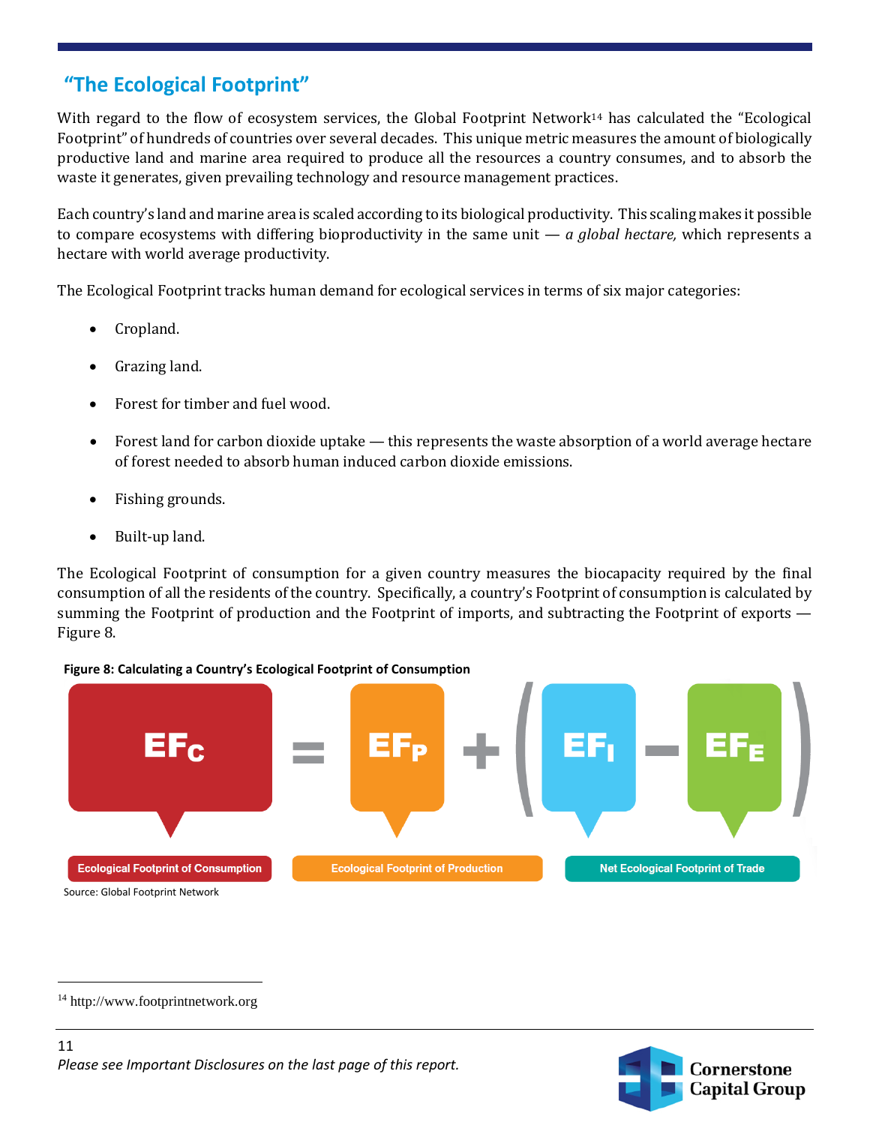#### **"The Ecological Footprint"**

With regard to the flow of ecosystem services, the Global Footprint Network<sup>[14](#page-10-0)</sup> has calculated the "Ecological" Footprint" of hundreds of countries over several decades. This unique metric measures the amount of biologically productive land and marine area required to produce all the resources a country consumes, and to absorb the waste it generates, given prevailing technology and resource management practices.

Each country's land and marine area is scaled according to its biological productivity. This scaling makes it possible to compare ecosystems with differing bioproductivity in the same unit — *a global hectare,* which represents a hectare with world average productivity.

The Ecological Footprint tracks human demand for ecological services in terms of six major categories:

- Cropland.
- Grazing land.
- Forest for timber and fuel wood.
- Forest land for carbon dioxide uptake this represents the waste absorption of a world average hectare of forest needed to absorb human induced carbon dioxide emissions.
- Fishing grounds.
- Built-up land.

The Ecological Footprint of consumption for a given country measures the biocapacity required by the final consumption of all the residents of the country. Specifically, a country's Footprint of consumption is calculated by summing the Footprint of production and the Footprint of imports, and subtracting the Footprint of exports — Figure 8.





l

<span id="page-10-0"></span><sup>14</sup> http://www.footprintnetwork.org

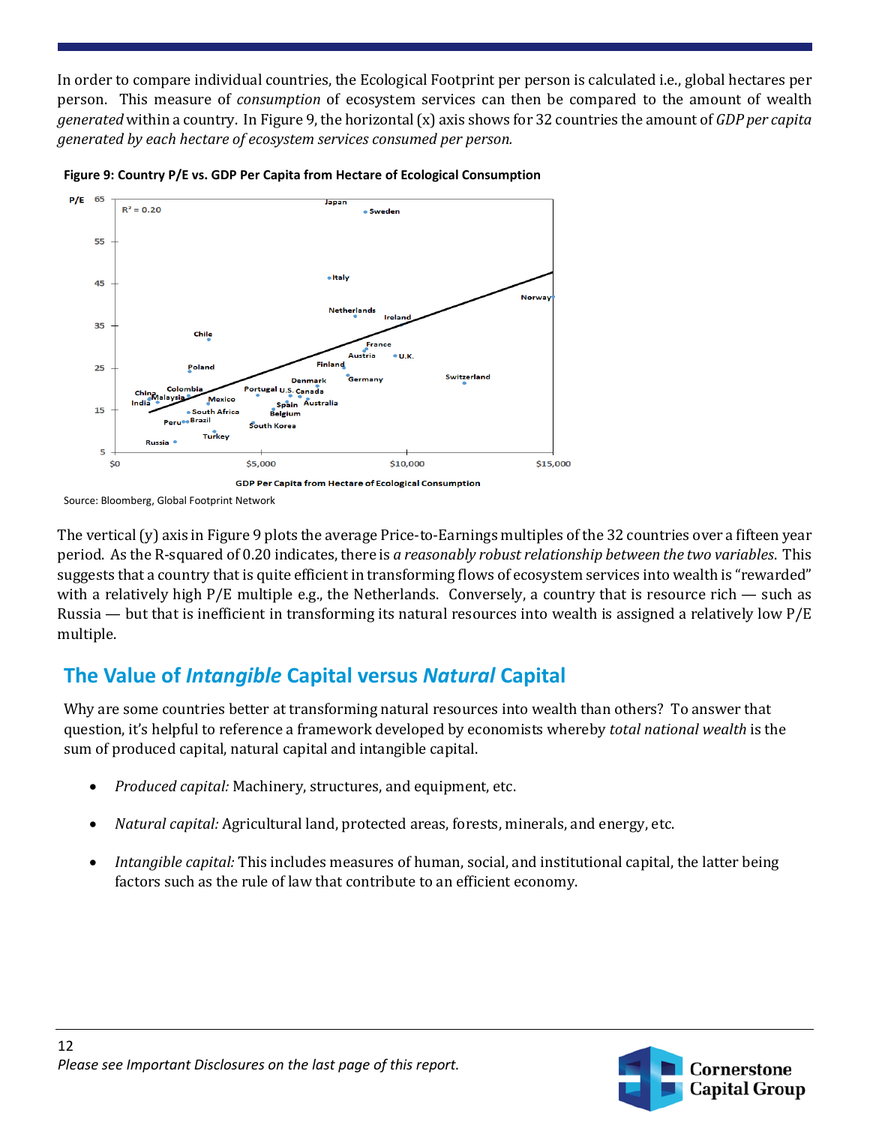In order to compare individual countries, the Ecological Footprint per person is calculated i.e., global hectares per person. This measure of *consumption* of ecosystem services can then be compared to the amount of wealth *generated* within a country. In Figure 9, the horizontal (x) axis shows for 32 countries the amount of *GDP per capita generated by each hectare of ecosystem services consumed per person.*





Source: Bloomberg, Global Footprint Network

The vertical (y) axis in Figure 9 plots the average Price-to-Earnings multiples of the 32 countries over a fifteen year period. As the R-squared of 0.20 indicates, there is *a reasonably robust relationship between the two variables*. This suggests that a country that is quite efficient in transforming flows of ecosystem services into wealth is "rewarded" with a relatively high  $P/E$  multiple e.g., the Netherlands. Conversely, a country that is resource rich — such as Russia — but that is inefficient in transforming its natural resources into wealth is assigned a relatively low  $P/E$ multiple.

#### **The Value of** *Intangible* **Capital versus** *Natural* **Capital**

Why are some countries better at transforming natural resources into wealth than others? To answer that question, it's helpful to reference a framework developed by economists whereby *total national wealth* is the sum of produced capital, natural capital and intangible capital.

- *Produced capital:* Machinery, structures, and equipment, etc.
- *Natural capital:* Agricultural land, protected areas, forests, minerals, and energy, etc.
- *Intangible capital:* This includes measures of human, social, and institutional capital, the latter being factors such as the rule of law that contribute to an efficient economy.

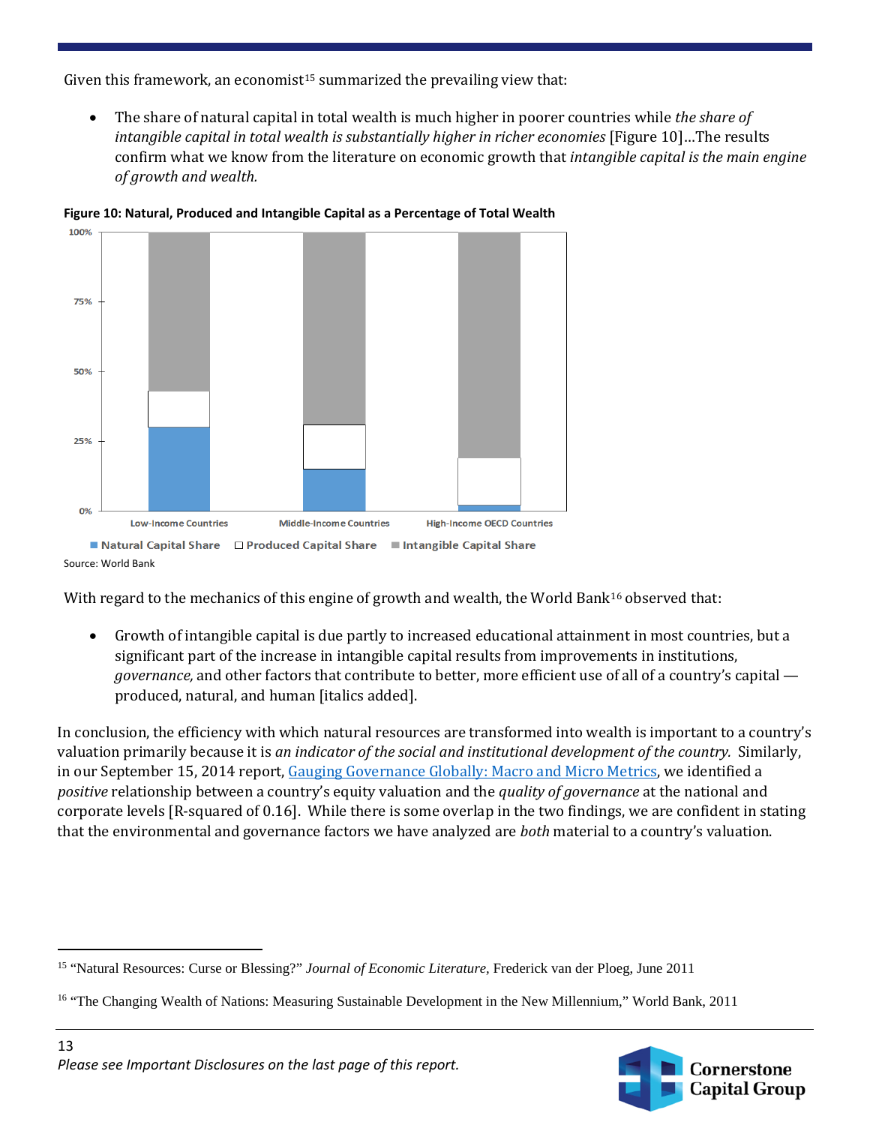Given this framework, an economist<sup>15</sup> summarized the prevailing view that:

• The share of natural capital in total wealth is much higher in poorer countries while *the share of intangible capital in total wealth is substantially higher in richer economies* [Figure 10]…The results confirm what we know from the literature on economic growth that *intangible capital is the main engine of growth and wealth.*



**Figure 10: Natural, Produced and Intangible Capital as a Percentage of Total Wealth**

With regard to the mechanics of this engine of growth and wealth, the World Bank<sup>[16](#page-12-1)</sup> observed that:

• Growth of intangible capital is due partly to increased educational attainment in most countries, but a significant part of the increase in intangible capital results from improvements in institutions, *governance,* and other factors that contribute to better, more efficient use of all of a country's capital produced, natural, and human [italics added].

In conclusion, the efficiency with which natural resources are transformed into wealth is important to a country's valuation primarily because it is *an indicator of the social and institutional development of the country.* Similarly, in our September 15, 2014 report, [Gauging Governance Globally: Macro and Micro Metrics,](http://cornerstonecapinc.com/2014/09/gauging-governance-globally/) we identified a *positive* relationship between a country's equity valuation and the *quality of governance* at the national and corporate levels [R-squared of 0.16]. While there is some overlap in the two findings, we are confident in stating that the environmental and governance factors we have analyzed are *both* material to a country's valuation.

 $\overline{a}$ 

<span id="page-12-0"></span><sup>15</sup> "Natural Resources: Curse or Blessing?" *Journal of Economic Literature,* Frederick van der Ploeg, June 2011

<span id="page-12-1"></span><sup>&</sup>lt;sup>16</sup> "The Changing Wealth of Nations: Measuring Sustainable Development in the New Millennium," World Bank, 2011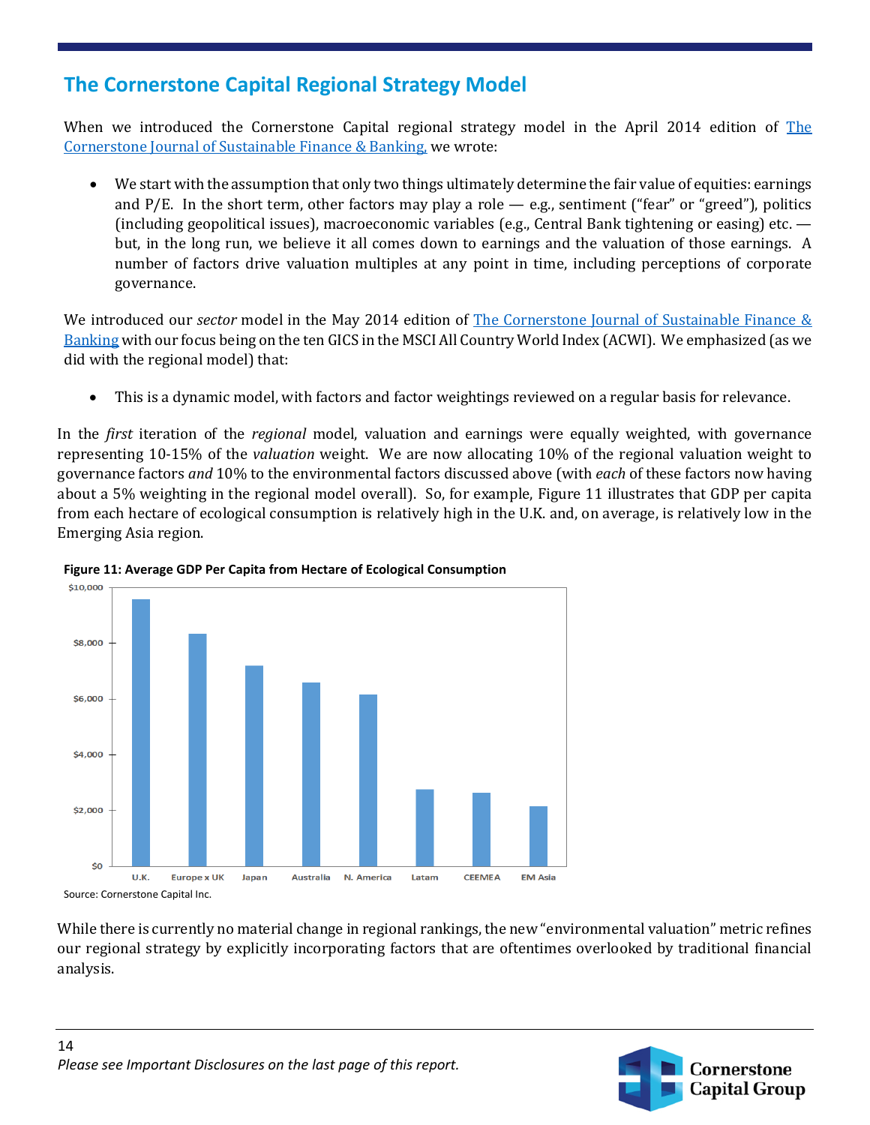### **The Cornerstone Capital Regional Strategy Model**

When we introduced the Cornerstone Capital regional strategy model in the April 2014 edition of [The](http://cornerstonecapinc.com/2014/04/introducing-cornerstone-capital-global-markets-regional-equity-strategy-model/)  [Cornerstone Journal of Sustainable Finance & Banking,](http://cornerstonecapinc.com/2014/04/introducing-cornerstone-capital-global-markets-regional-equity-strategy-model/) we wrote:

• We start with the assumption that only two things ultimately determine the fair value of equities: earnings and P/E. In the short term, other factors may play a role  $-$  e.g., sentiment ("fear" or "greed"), politics (including geopolitical issues), macroeconomic variables (e.g., Central Bank tightening or easing) etc. but, in the long run, we believe it all comes down to earnings and the valuation of those earnings. A number of factors drive valuation multiples at any point in time, including perceptions of corporate governance.

We introduced our *sector* model in the May 2014 edition of The Cornerstone Journal of Sustainable Finance & [Banking](http://cornerstonecapinc.com/2014/05/introducing-cornerstone-capital-global-sector-strategy/) with our focus being on the ten GICS in the MSCI All Country World Index (ACWI). We emphasized (as we did with the regional model) that:

• This is a dynamic model, with factors and factor weightings reviewed on a regular basis for relevance.

In the *first* iteration of the *regional* model, valuation and earnings were equally weighted, with governance representing 10-15% of the *valuation* weight. We are now allocating 10% of the regional valuation weight to governance factors *and* 10% to the environmental factors discussed above (with *each* of these factors now having about a 5% weighting in the regional model overall). So, for example, Figure 11 illustrates that GDP per capita from each hectare of ecological consumption is relatively high in the U.K. and, on average, is relatively low in the Emerging Asia region.





While there is currently no material change in regional rankings, the new "environmental valuation" metric refines our regional strategy by explicitly incorporating factors that are oftentimes overlooked by traditional financial analysis.

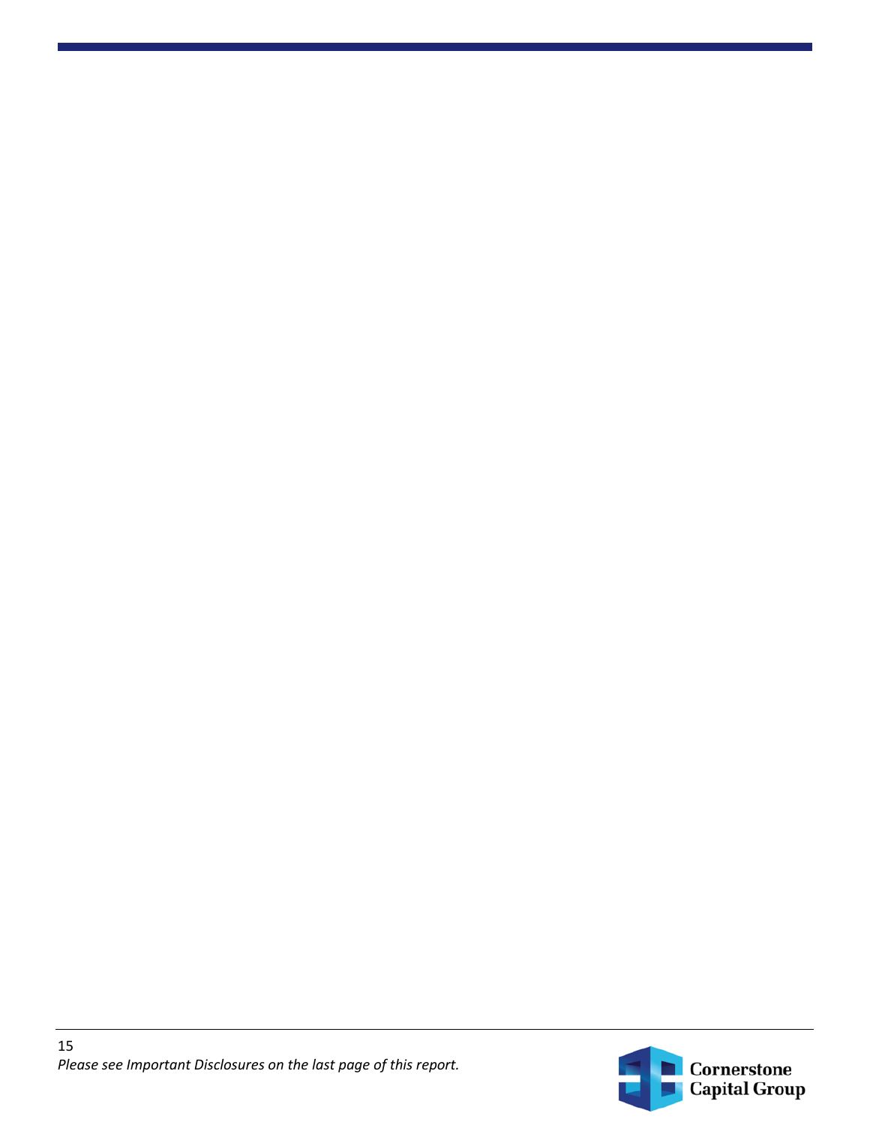